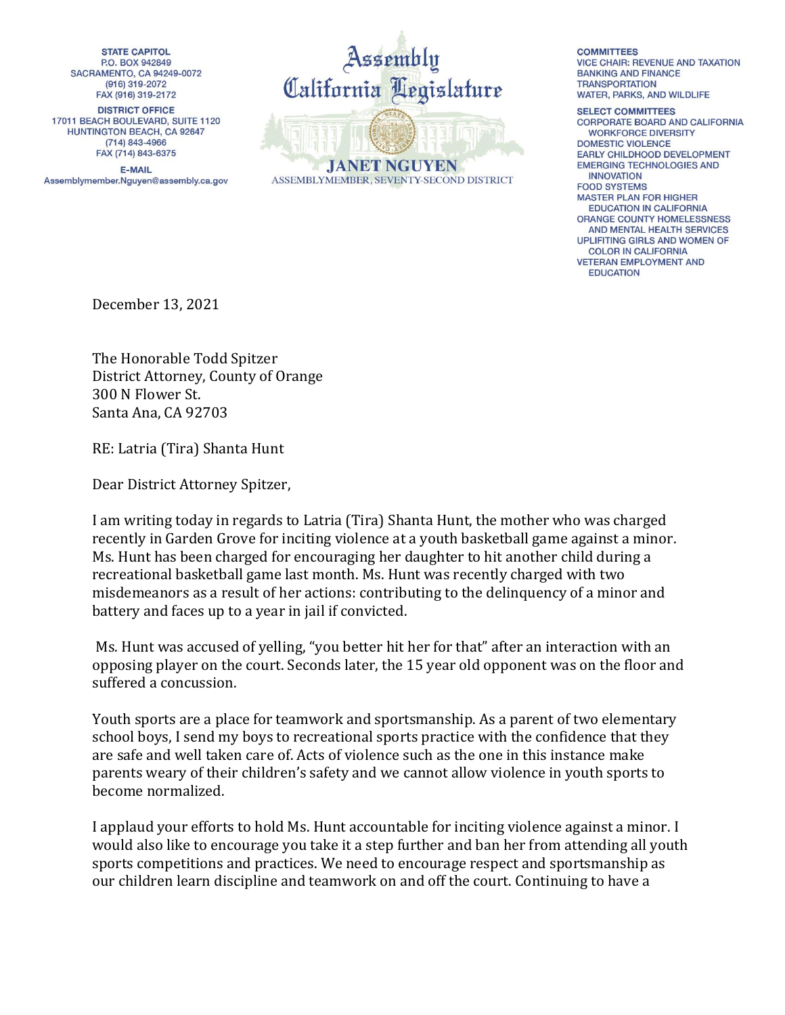**STATE CAPITOL P.O. BOX 942849** SACRAMENTO, CA 94249-0072  $(916) 319 - 2072$ FAX (916) 319-2172 **DISTRICT OFFICE** 17011 BEACH BOULEVARD, SUITE 1120 HUNTINGTON BEACH, CA 92647 (714) 843-4966 FAX (714) 843-6375

**E-MAIL** Assemblymember.Nguyen@assembly.ca.gov



**COMMITTEES** 

**VICE CHAIR: REVENUE AND TAXATION BANKING AND FINANCE TRANSPORTATION** WATER, PARKS, AND WILDLIFE

**SELECT COMMITTEES** CORPORATE BOARD AND CALIFORNIA **WORKFORCE DIVERSITY DOMESTIC VIOLENCE EARLY CHILDHOOD DEVELOPMENT EMERGING TECHNOLOGIES AND INNOVATION FOOD SYSTEMS MASTER PLAN FOR HIGHER EDUCATION IN CALIFORNIA ORANGE COUNTY HOMELESSNESS** AND MENTAL HEALTH SERVICES UPLIFITING GIRLS AND WOMEN OF **COLOR IN CALIFORNIA VETERAN EMPLOYMENT AND EDUCATION** 

December 13, 2021

The Honorable Todd Spitzer District Attorney, County of Orange 300 N Flower St. Santa Ana, CA 92703

RE: Latria (Tira) Shanta Hunt

Dear District Attorney Spitzer,

I am writing today in regards to Latria (Tira) Shanta Hunt, the mother who was charged recently in Garden Grove for inciting violence at a youth basketball game against a minor. Ms. Hunt has been charged for encouraging her daughter to hit another child during a recreational basketball game last month. Ms. Hunt was recently charged with two misdemeanors as a result of her actions: contributing to the delinquency of a minor and battery and faces up to a year in jail if convicted.

Ms. Hunt was accused of yelling, "you better hit her for that" after an interaction with an opposing player on the court. Seconds later, the 15 year old opponent was on the floor and suffered a concussion.

Youth sports are a place for teamwork and sportsmanship. As a parent of two elementary school boys, I send my boys to recreational sports practice with the confidence that they are safe and well taken care of. Acts of violence such as the one in this instance make parents weary of their children's safety and we cannot allow violence in youth sports to become normalized.

I applaud your efforts to hold Ms. Hunt accountable for inciting violence against a minor. I would also like to encourage you take it a step further and ban her from attending all youth sports competitions and practices. We need to encourage respect and sportsmanship as our children learn discipline and teamwork on and off the court. Continuing to have a